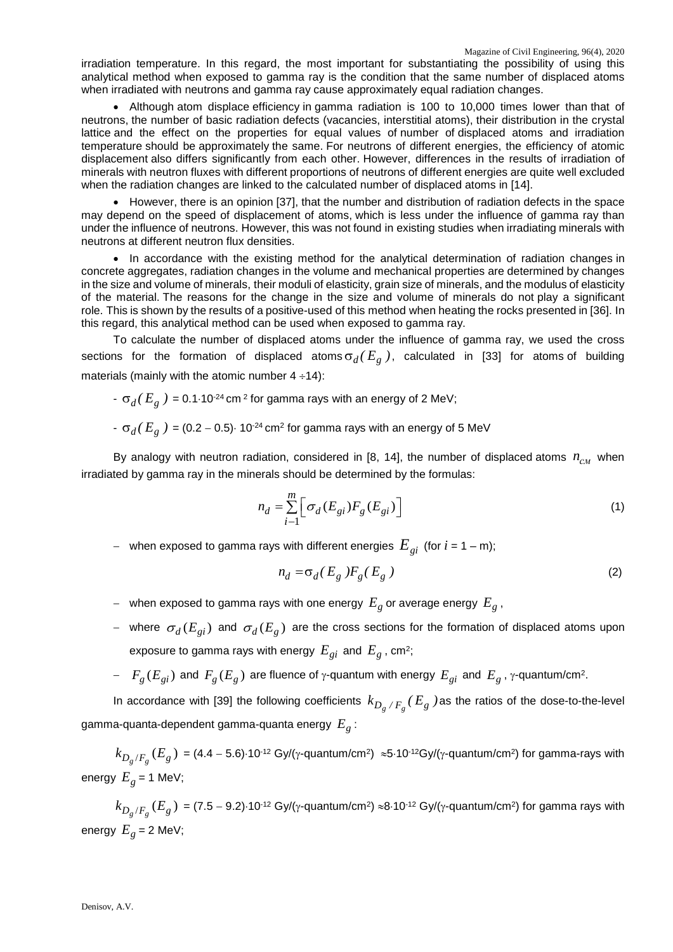irradiation temperature. In this regard, the most important for substantiating the possibility of using this analytical method when exposed to gamma ray is the condition that the same number of displaced atoms when irradiated with neutrons and gamma ray cause approximately equal radiation changes.

• Although atom displace efficiency in gamma radiation is 100 to 10,000 times lower than that of neutrons, the number of basic radiation defects (vacancies, interstitial atoms), their distribution in the crystal lattice and the effect on the properties for equal values of number of displaced atoms and irradiation temperature should be approximately the same. For neutrons of different energies, the efficiency of atomic displacement also differs significantly from each other. However, differences in the results of irradiation of minerals with neutron fluxes with different proportions of neutrons of different energies are quite well excluded when the radiation changes are linked to the calculated number of displaced atoms in [14].

• However, there is an opinion [37], that the number and distribution of radiation defects in the space may depend on the speed of displacement of atoms, which is less under the influence of gamma ray than under the influence of neutrons. However, this was not found in existing studies when irradiating minerals with neutrons at different neutron flux densities.

• In accordance with the existing method for the analytical determination of radiation changes in concrete aggregates, radiation changes in the volume and mechanical properties are determined by changes in the size and volume of minerals, their moduli of elasticity, grain size of minerals, and the modulus of elasticity of the material. The reasons for the change in the size and volume of minerals do not play a significant role. This is shown by the results of a positive-used of this method when heating the rocks presented in [36]. In this regard, this analytical method can be used when exposed to gamma ray.

To calculate the number of displaced atoms under the influence of gamma ray, we used the cross sections for the formation of displaced atoms  $\sigma_d(E_g)$ , calculated in [33] for atoms of building materials (mainly with the atomic number  $4 \div 14$ ):

 $\sigma$ <sub>*d</sub>*( $E<sub>g</sub>$ ) = 0.1⋅10<sup>-24</sup> cm<sup>2</sup> for gamma rays with an energy of 2 MeV;</sub>

 $\sigma_d(E_g)$  = (0.2 – 0.5) $\cdot$  10<sup>-24</sup> cm<sup>2</sup> for gamma rays with an energy of 5 MeV

By analogy with neutron radiation, considered in [8, 14], the number of displaced atoms  $n_{\scriptscriptstyle CM}$  when irradiated by gamma ray in the minerals should be determined by the formulas:

$$
n_d = \sum_{i=1}^{m} \left[ \sigma_d(E_{gi}) F_g(E_{gi}) \right]
$$
 (1)

<sup>−</sup> when exposed to gamma rays with different energies *Egi* (for *i* = 1 – m);

$$
n_d = \sigma_d (E_g) F_g (E_g)
$$
 (2)

- <sup>−</sup> when exposed to gamma rays with one energy *Eg* or average energy *Eg* ,
- − where  $\sigma_d(E_{gi})$  and  $\sigma_d(E_g)$  are the cross sections for the formation of displaced atoms upon exposure to gamma rays with energy  $E_{gi}$  and  $E_g$ , cm<sup>2</sup>;
- $-F_g(E_{gi})$  and  $F_g(E_g)$  are fluence of γ-quantum with energy  $E_{gi}$  and  $E_g$ , γ-quantum/cm<sup>2</sup>.

In accordance with [39] the following coefficients  $k_{D_g^-\,/\,F_g^{\phantom i}}(E_g^-\,)$  as the ratios of the dose-to-the-level gamma-quanta-dependent gamma-quanta energy  $E_g$ :

 $k_{D_g/F_g}\left(E_g\right)=($  4.4 − 5.6)⋅10<sup>-12</sup> Gy/(γ-quantum/cm<sup>2</sup>) ≈5⋅10<sup>-12</sup>Gy/(γ-quantum/cm<sup>2</sup>) for gamma-rays with energy  $E_g = 1$  MeV;

 $k_{D_g/F_g}\left(E_g\right)$  = (7.5 − 9.2)⋅10<sup>-12</sup> Gy/(γ-quantum/cm<sup>2</sup>) ≈8⋅10<sup>-12</sup> Gy/(γ-quantum/cm<sup>2</sup>) for gamma rays with energy  $E<sub>g</sub> = 2$  MeV;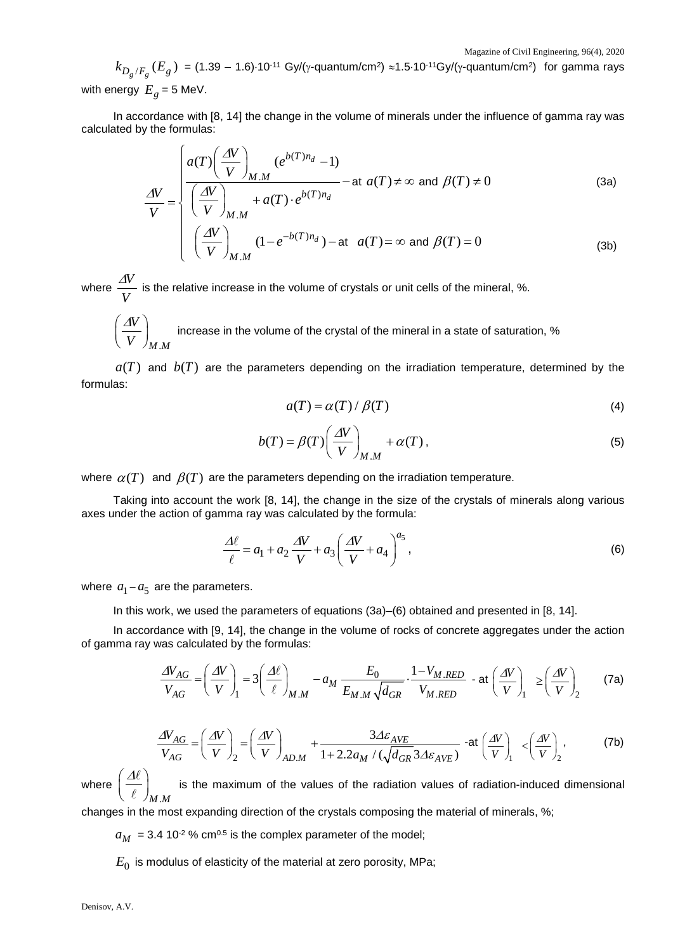$k_{D_g/F_g}\left(E_g\right)$  = (1.39 − 1.6)⋅10<sup>-11</sup> Gy/(γ-quantum/cm<sup>2</sup>) ≈1.5⋅10<sup>-11</sup>Gy/(γ-quantum/cm<sup>2</sup>) for gamma rays

with energy  $E<sub>g</sub> = 5$  MeV.

In accordance with [8, 14] the change in the volume of minerals under the influence of gamma ray was calculated by the formulas:

$$
\frac{\Delta V}{V} = \begin{cases}\n a(T) \left( \frac{\Delta V}{V} \right)_{M.M} (e^{b(T)n_d} - 1) & - \text{at } a(T) \neq \infty \text{ and } \beta(T) \neq 0 \\
\left( \frac{\Delta V}{V} \right)_{M.M} & + a(T) \cdot e^{b(T)n_d} \\
\left( \frac{\Delta V}{V} \right)_{M.M} (1 - e^{-b(T)n_d}) - \text{at } a(T) = \infty \text{ and } \beta(T) = 0\n\end{cases}
$$
\n(3a)

where  $\frac{\Delta V}{\Delta V}$ *V*  $\frac{\Delta V}{\Delta V}$  is the relative increase in the volume of crystals or unit cells of the mineral, %.

.

*M M*

$$
\left(\frac{\Delta V}{V}\right)_{M.M}
$$
 increase in the volume of the crystal of the mineral in a state of saturation, %

 $a(T)$  and  $b(T)$  are the parameters depending on the irradiation temperature, determined by the formulas:

$$
a(T) = \alpha(T) / \beta(T) \tag{4}
$$

$$
b(T) = \beta(T) \left(\frac{\Delta V}{V}\right)_{M.M} + \alpha(T),\tag{5}
$$

where  $\alpha(T)$  and  $\beta(T)$  are the parameters depending on the irradiation temperature.

Taking into account the work [8, 14], the change in the size of the crystals of minerals along various axes under the action of gamma ray was calculated by the formula:

$$
\frac{\Delta \ell}{\ell} = a_1 + a_2 \frac{\Delta V}{V} + a_3 \left(\frac{\Delta V}{V} + a_4\right)^{a_5},\tag{6}
$$

where  $a_1 - a_5$  are the parameters.

In this work, we used the parameters of equations (3a)–(6) obtained and presented in [8, 14].

In accordance with [9, 14], the change in the volume of rocks of concrete aggregates under the action of gamma ray was calculated by the formulas:

$$
\frac{\Delta V_{AG}}{V_{AG}} = \left(\frac{\Delta V}{V}\right)_1 = 3 \left(\frac{\Delta \ell}{\ell}\right)_{M.M} - a_M \frac{E_0}{E_{M.M} \sqrt{d_{GR}}} \cdot \frac{1 - V_{M.RED}}{V_{M.RED}} - at \left(\frac{\Delta V}{V}\right)_1 \ge \left(\frac{\Delta V}{V}\right)_2
$$
 (7a)

$$
\frac{\Delta V_{AG}}{V_{AG}} = \left(\frac{\Delta V}{V}\right)_2 = \left(\frac{\Delta V}{V}\right)_{AD.M} + \frac{3\Delta \varepsilon_{AVE}}{1 + 2.2a_M / (\sqrt{d_{GR}} 3\Delta \varepsilon_{AVE})} \text{ -at } \left(\frac{\Delta V}{V}\right)_1 \le \left(\frac{\Delta V}{V}\right)_2, \tag{7b}
$$

where *M M*.  $\langle \Delta \ell \rangle$  $\left(\overline{\ell}\right)$  $\ell$  $\ell$ is the maximum of the values of the radiation values of radiation-induced dimensional

changes in the most expanding direction of the crystals composing the material of minerals, %;

 $a_M$  = 3.4 10<sup>-2</sup> % cm<sup>0.5</sup> is the complex parameter of the model;

 $E_0$  is modulus of elasticity of the material at zero porosity, MPa;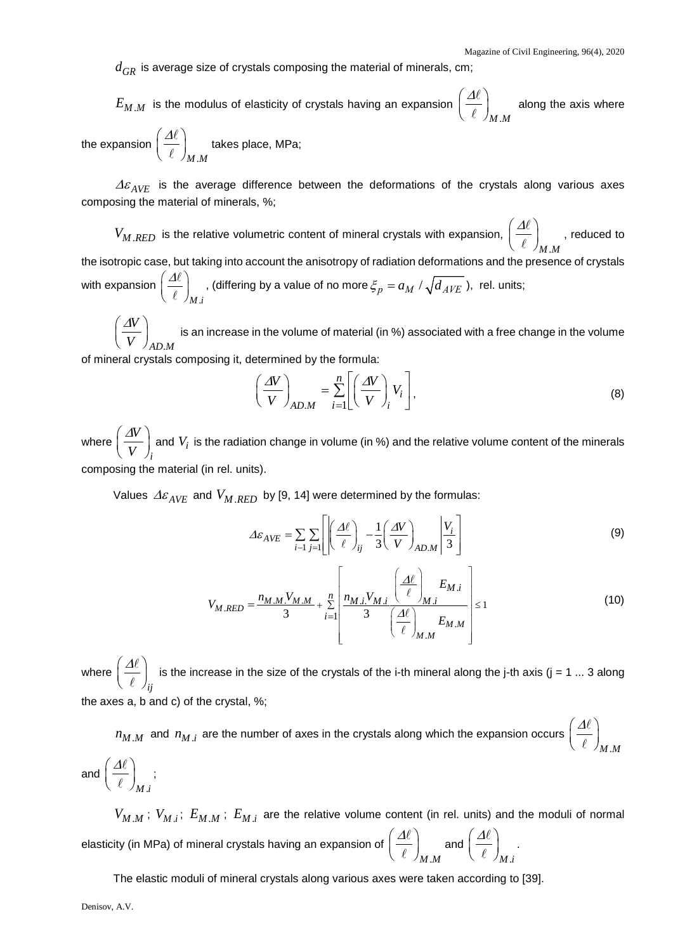$d_{GR}$  is average size of crystals composing the material of minerals, cm;

 $E_{M.M}^{\phantom i}$  is the modulus of elasticity of crystals having an expansion *M M*.  $\langle \Delta \ell \rangle$  $\left(\overline{\ell}\right)$  $\ell$  $\overline{\ell} \, \int_{M.M}$  along the axis where the expansion  $\langle \Delta \ell \rangle$  $\left(\overline{\ell}\right)$  $\ell$  $\overline{\ell}$   $\Big)_{M.M}$  takes place, MPa;

∆ε *AVE* is the average difference between the deformations of the crystals along various axes composing the material of minerals, %;

 $V_{M.RED}$  is the relative volumetric content of mineral crystals with expansion, *M M*.  $\langle \Delta \ell \rangle$  $\left(\overline{\ell}\right)$  $\ell$  $\overline{\ell}$   $\Big)_{M.M}$  , reduced to the isotropic case, but taking into account the anisotropy of radiation deformations and the presence of crystals with expansion *M i*.  $\langle \Delta \ell \rangle$  $\left(\overline{\ell}\right)$  $\left(\frac{d\ell}{\ell}\right)_{M.i}$  , (differing by a value of no more  $\zeta_p = a_M \; / \; \sqrt{d_{AVE}}$  ), rel. units;

*AD M*. *V V*  $\left(\begin{array}{c}\Delta V\end{array}\right)$  $\left(\overline{\hspace{0.3cm}V\hspace{0.3cm}}\right)_{AD.M}$  is an increase in the volume of material (in %) associated with a free change in the volume

of mineral crystals composing it, determined by the formula:

*M M*.

$$
\left(\frac{\Delta V}{V}\right)_{AD.M} = \sum_{i=1}^{n} \left[ \left(\frac{\Delta V}{V}\right)_i V_i \right],
$$
\n(8)

where *i V V*  $\left(\frac{\Delta V}{V}\right)_{i}$  and  $V_{i}$  is the radiation change in volume (in %) and the relative volume content of the minerals composing the material (in rel. units).

Values  $\Delta \varepsilon_{AVE}$  and  $V_{M.RED}$  by [9, 14] were determined by the formulas:

$$
\Delta \varepsilon_{AVE} = \sum_{i-1} \sum_{j=1} \left[ \left| \left( \frac{\Delta \ell}{\ell} \right)_{ij} - \frac{1}{3} \left( \frac{\Delta V}{V} \right)_{AD.M} \right| \frac{V_i}{3} \right]
$$
(9)

$$
V_{M.RED} = \frac{n_{M.M} V_{M.M}}{3} + \sum_{i=1}^{n} \left| \frac{n_{M.i} V_{M.i}}{3} \left( \frac{\Delta \ell}{\ell} \right)_{M.i} E_{M.M} \right| \le 1
$$
(10)

where *ij*  $\langle \Delta \ell \rangle$  $\left(\overline{\phantom{a}}\right)$  $\ell$  $\left(\begin{array}{c} 0 \ \hline \end{array}\right)_{ii}$  is the increase in the size of the crystals of the i-th mineral along the j-th axis (j = 1 ... 3 along the axes a, b and c) of the crystal, %;

 $n_{M,M}$  and  $n_{M,i}$  are the number of axes in the crystals along which the expansion occurs *M M*.  $\langle \Delta \ell \rangle$  $\left(\overline{\ell}\right)$  $\ell$  $\ell$ and *M i*.  $\langle \Delta \ell \rangle$  $\left(\overline{\phantom{a}}\right)$  $\ell$  $\overline{\ell}$   $\Big)_{M,i}$  ;

 $V_{M.M}$ ;  $V_{M.i}$ ;  $E_{M.M}$ ;  $E_{M.i}$  are the relative volume content (in rel. units) and the moduli of normal elasticity (in MPa) of mineral crystals having an expansion of *M M*.  $\langle \Delta \ell \rangle$  $\left(\overline{\ell}\right)$  $\ell$  $\ell$ and *M i*.  $\langle \Delta \ell \rangle$  $\left(\overline{\ell}\right)$  $\ell$  $\overline{\ell}\big|_{M,i}$ .

The elastic moduli of mineral crystals along various axes were taken according to [39].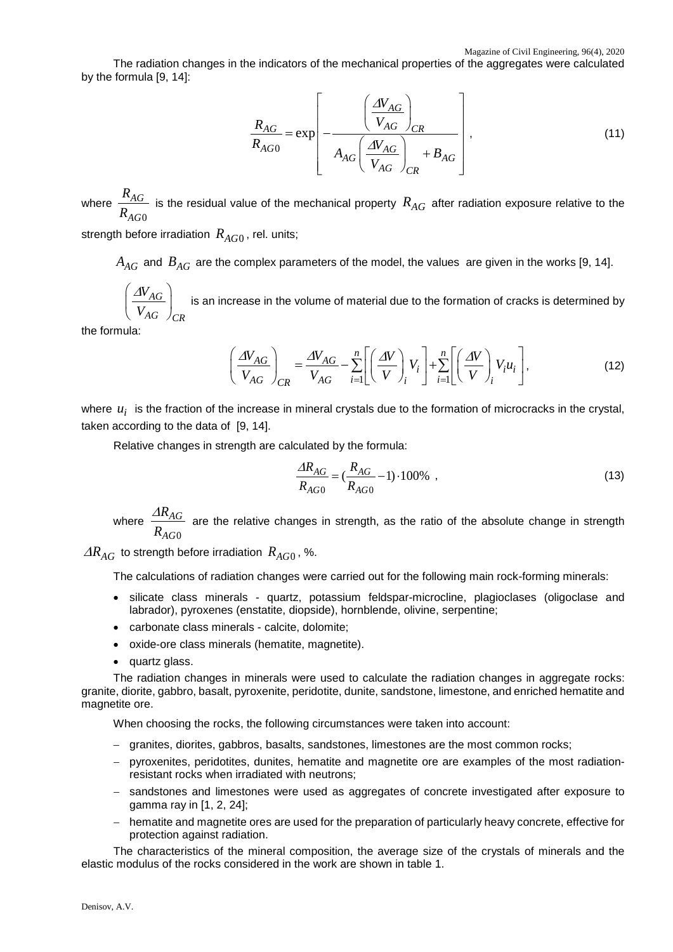The radiation changes in the indicators of the mechanical properties of the aggregates were calculated by the formula [9, 14]:

$$
\frac{R_{AG}}{R_{AG0}} = \exp\left[-\frac{\left(\frac{\Delta V_{AG}}{V_{AG}}\right)_{CR}}{A_{AG}\left(\frac{\Delta V_{AG}}{V_{AG}}\right)_{CR}}\right],
$$
\n(11)

where  $\boldsymbol{0}$ *AG AG*  $\frac{R_{AG}}{R_{AG0}}$  is the residual value of the mechanical property  $R_{AG}$  after radiation exposure relative to the

strength before irradiation  $R_{AG0}$ , rel. units;

 $A_{AG}$  and  $B_{AG}$  are the complex parameters of the model, the values are given in the works [9, 14].

*AG AG CR V V*  $\left(\sqrt{a_{AC}}\right)$  $\left(\frac{A\alpha}{V_{AG}}\right)_{CR}$  is an increase in the volume of material due to the formation of cracks is determined by

the formula:

$$
\left(\frac{\Delta V_{AG}}{V_{AG}}\right)_{CR} = \frac{\Delta V_{AG}}{V_{AG}} - \sum_{i=1}^{n} \left[ \left(\frac{\Delta V}{V}\right)_i V_i \right] + \sum_{i=1}^{n} \left[ \left(\frac{\Delta V}{V}\right)_i V_i u_i \right],
$$
\n(12)

where  $u_i$  is the fraction of the increase in mineral crystals due to the formation of microcracks in the crystal, taken according to the data of [9, 14].

Relative changes in strength are calculated by the formula:

$$
\frac{\Delta R_{AG}}{R_{AG0}} = \left(\frac{R_{AG}}{R_{AG0}} - 1\right) \cdot 100\% \tag{13}
$$

where  $\boldsymbol{0}$ *AG AG R R* ∆ are the relative changes in strength, as the ratio of the absolute change in strength

 $\Delta R_{AG}$  to strength before irradiation  $R_{AG0}$ , %.

The calculations of radiation changes were carried out for the following main rock-forming minerals:

- silicate class minerals quartz, potassium feldspar-microcline, plagioclases (oligoclase and labrador), pyroxenes (enstatite, diopside), hornblende, olivine, serpentine;
- carbonate class minerals calcite, dolomite;
- oxide-ore class minerals (hematite, magnetite).
- quartz glass.

The radiation changes in minerals were used to calculate the radiation changes in aggregate rocks: granite, diorite, gabbro, basalt, pyroxenite, peridotite, dunite, sandstone, limestone, and enriched hematite and magnetite ore.

When choosing the rocks, the following circumstances were taken into account:

- − granites, diorites, gabbros, basalts, sandstones, limestones are the most common rocks;
- − pyroxenites, peridotites, dunites, hematite and magnetite ore are examples of the most radiationresistant rocks when irradiated with neutrons;
- − sandstones and limestones were used as aggregates of concrete investigated after exposure to gamma ray in [1, 2, 24];
- − hematite and magnetite ores are used for the preparation of particularly heavy concrete, effective for protection against radiation.

The characteristics of the mineral composition, the average size of the crystals of minerals and the elastic modulus of the rocks considered in the work are shown in table 1.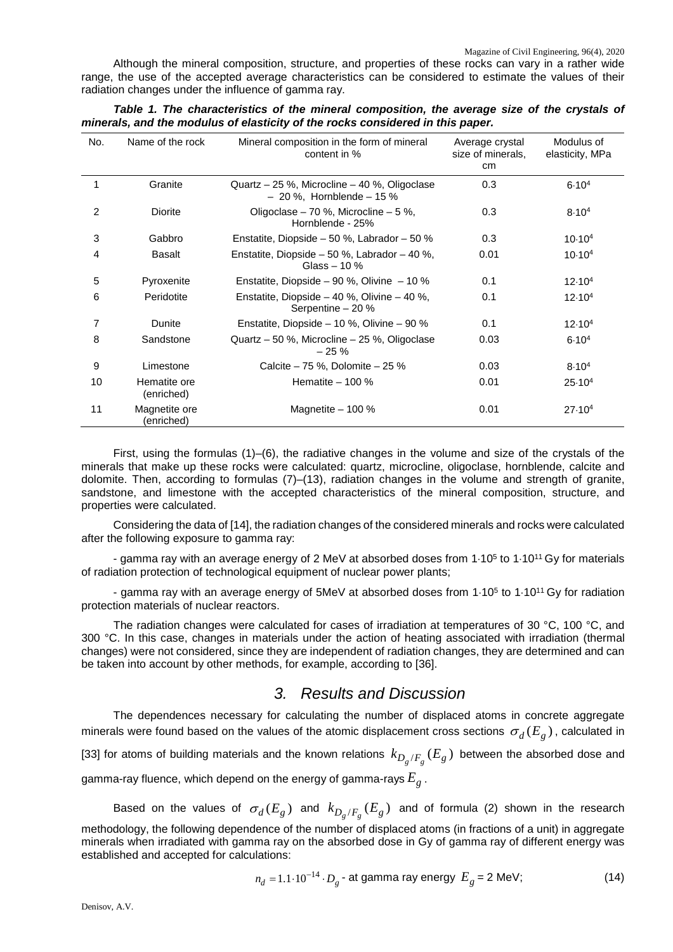Although the mineral composition, structure, and properties of these rocks can vary in a rather wide range, the use of the accepted average characteristics can be considered to estimate the values of their radiation changes under the influence of gamma ray.

| No.            | Name of the rock            | Mineral composition in the form of mineral<br>content in %                  | Average crystal<br>size of minerals,<br>cm | Modulus of<br>elasticity, MPa |
|----------------|-----------------------------|-----------------------------------------------------------------------------|--------------------------------------------|-------------------------------|
| 1              | Granite                     | Quartz - 25 %, Microcline - 40 %, Oligoclase<br>$-20$ %, Hornblende $-15$ % | 0.3                                        | 6.10 <sup>4</sup>             |
| $\overline{2}$ | <b>Diorite</b>              | Oligoclase – 70 %, Microcline – 5 %,<br>Hornblende - 25%                    | 0.3                                        | $8.10^{4}$                    |
| 3              | Gabbro                      | Enstatite, Diopside $-50$ %, Labrador $-50$ %                               | 0.3                                        | 10.10 <sup>4</sup>            |
| 4              | Basalt                      | Enstatite, Diopside $-50$ %, Labrador $-40$ %,<br>Glass $-10\%$             | 0.01                                       | 10.10 <sup>4</sup>            |
| 5              | Pyroxenite                  | Enstatite, Diopside – 90 %, Olivine – 10 %                                  | 0.1                                        | 12.10 <sup>4</sup>            |
| 6              | Peridotite                  | Enstatite, Diopside $-40$ %, Olivine $-40$ %,<br>Serpentine $-20%$          | 0.1                                        | 12.10 <sup>4</sup>            |
| 7              | Dunite                      | Enstatite, Diopside - 10 %, Olivine - 90 %                                  | 0.1                                        | 12.10 <sup>4</sup>            |
| 8              | Sandstone                   | Quartz - 50 %, Microcline - 25 %, Oligoclase<br>$-25%$                      | 0.03                                       | 6.10 <sup>4</sup>             |
| 9              | Limestone                   | Calcite $-75$ %, Dolomite $-25$ %                                           | 0.03                                       | $8.10^{4}$                    |
| 10             | Hematite ore<br>(enriched)  | Hematite $-100\%$                                                           | 0.01                                       | 25.10 <sup>4</sup>            |
| 11             | Magnetite ore<br>(enriched) | Magnetite $-100\%$                                                          | 0.01                                       | $27.10^{4}$                   |

*Table 1. The characteristics of the mineral composition, the average size of the crystals of minerals, and the modulus of elasticity of the rocks considered in this paper.* 

First, using the formulas (1)–(6), the radiative changes in the volume and size of the crystals of the minerals that make up these rocks were calculated: quartz, microcline, oligoclase, hornblende, calcite and dolomite. Then, according to formulas (7)–(13), radiation changes in the volume and strength of granite, sandstone, and limestone with the accepted characteristics of the mineral composition, structure, and properties were calculated.

Considering the data of [14], the radiation changes of the considered minerals and rocks were calculated after the following exposure to gamma ray:

- gamma ray with an average energy of 2 MeV at absorbed doses from 1⋅105 to 1⋅1011 Gy for materials of radiation protection of technological equipment of nuclear power plants;

- gamma ray with an average energy of 5MeV at absorbed doses from 1⋅105 to 1⋅1011 Gy for radiation protection materials of nuclear reactors.

The radiation changes were calculated for cases of irradiation at temperatures of 30 °C, 100 °C, and 300 °C. In this case, changes in materials under the action of heating associated with irradiation (thermal changes) were not considered, since they are independent of radiation changes, they are determined and can be taken into account by other methods, for example, according to [36].

## *3. Results and Discussion*

The dependences necessary for calculating the number of displaced atoms in concrete aggregate minerals were found based on the values of the atomic displacement cross sections  $\sigma_d(E_g)$ , calculated in [33] for atoms of building materials and the known relations  $k_{D_g/F_g}(E_g)$  between the absorbed dose and gamma-ray fluence, which depend on the energy of gamma-rays  $E<sub>g</sub>$ .

Based on the values of  $\sigma_{d}( E_{g})$  and  $k_{D_{g}/F_{g}}( E_{g})$  and of formula (2) shown in the research methodology, the following dependence of the number of displaced atoms (in fractions of a unit) in aggregate minerals when irradiated with gamma ray on the absorbed dose in Gy of gamma ray of different energy was established and accepted for calculations:

$$
n_d = 1.1 \cdot 10^{-14} \cdot D_g
$$
 at gamma ray energy  $E_g = 2$  MeV; (14)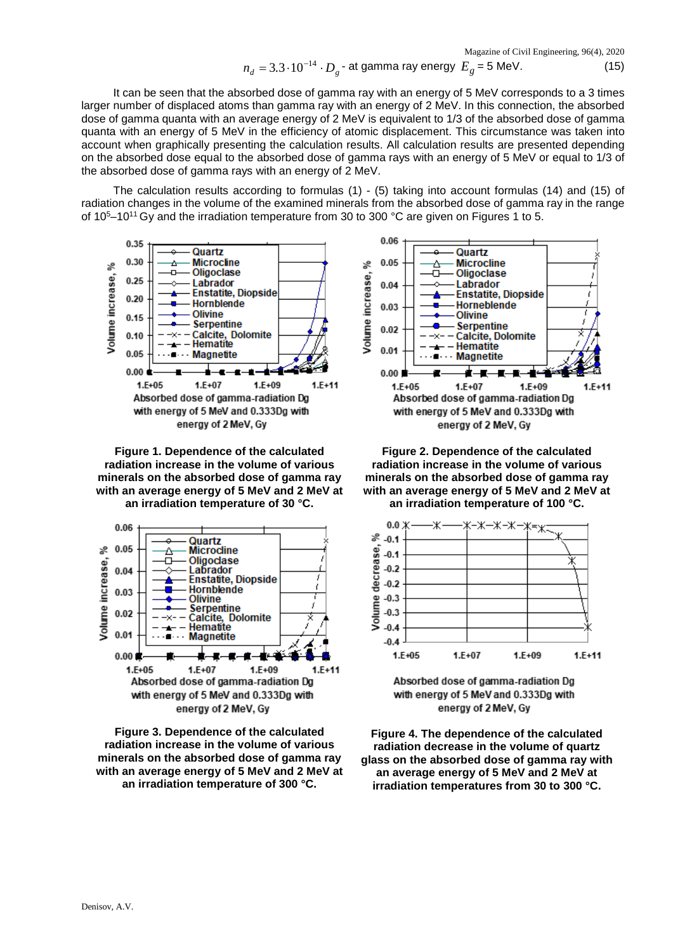Magazine of Civil Engineering, 96(4), 2020

$$
n_d = 3.3 \cdot 10^{-14} \cdot D_g \cdot \text{at gamma ray energy } E_g = 5 \text{ MeV.}
$$
 (15)

It can be seen that the absorbed dose of gamma ray with an energy of 5 MeV corresponds to a 3 times larger number of displaced atoms than gamma ray with an energy of 2 MeV. In this connection, the absorbed dose of gamma quanta with an average energy of 2 MeV is equivalent to 1/3 of the absorbed dose of gamma quanta with an energy of 5 MeV in the efficiency of atomic displacement. This circumstance was taken into account when graphically presenting the calculation results. All calculation results are presented depending on the absorbed dose equal to the absorbed dose of gamma rays with an energy of 5 MeV or equal to 1/3 of the absorbed dose of gamma rays with an energy of 2 MeV.

The calculation results according to formulas (1) - (5) taking into account formulas (14) and (15) of radiation changes in the volume of the examined minerals from the absorbed dose of gamma ray in the range of 10<sup>5</sup>–10<sup>11</sup> Gy and the irradiation temperature from 30 to 300 °C are given on Figures 1 to 5.



**Figure 1. Dependence of the calculated radiation increase in the volume of various minerals on the absorbed dose of gamma ray with an average energy of 5 MeV and 2 MeV at an irradiation temperature of 30 °C.**







**Figure 2. Dependence of the calculated radiation increase in the volume of various minerals on the absorbed dose of gamma ray with an average energy of 5 MeV and 2 MeV at an irradiation temperature of 100 °C.** 



Absorbed dose of gamma-radiation Dg with energy of 5 MeV and 0.333Dg with energy of 2 MeV, Gy

**Figure 4. The dependence of the calculated radiation decrease in the volume of quartz glass on the absorbed dose of gamma ray with an average energy of 5 MeV and 2 MeV at irradiation temperatures from 30 to 300 °C.**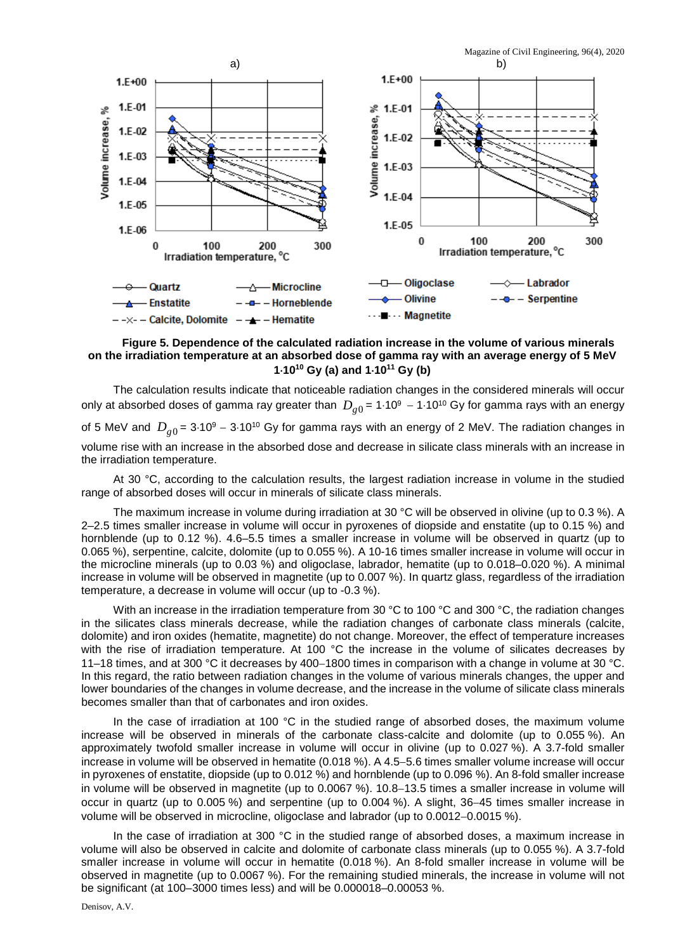Magazine of Civil Engineering, 96(4), 2020



**Figure 5. Dependence of the calculated radiation increase in the volume of various minerals on the irradiation temperature at an absorbed dose of gamma ray with an average energy of 5 MeV 1**⋅**1010 Gy (a) and 1**⋅**1011 Gy (b)**

The calculation results indicate that noticeable radiation changes in the considered minerals will occur only at absorbed doses of gamma ray greater than  $D_{\rho 0}$  = 1⋅10<sup>9</sup> – 1⋅10<sup>10</sup> Gy for gamma rays with an energy of 5 MeV and  $D_{o0}$  = 3⋅10<sup>9</sup> – 3⋅10<sup>10</sup> Gy for gamma rays with an energy of 2 MeV. The radiation changes in volume rise with an increase in the absorbed dose and decrease in silicate class minerals with an increase in the irradiation temperature.

At 30 °C, according to the calculation results, the largest radiation increase in volume in the studied range of absorbed doses will occur in minerals of silicate class minerals.

The maximum increase in volume during irradiation at 30 °C will be observed in olivine (up to 0.3 %). A 2–2.5 times smaller increase in volume will occur in pyroxenes of diopside and enstatite (up to 0.15 %) and hornblende (up to 0.12 %). 4.6–5.5 times a smaller increase in volume will be observed in quartz (up to 0.065 %), serpentine, calcite, dolomite (up to 0.055 %). A 10-16 times smaller increase in volume will occur in the microcline minerals (up to 0.03 %) and oligoclase, labrador, hematite (up to 0.018–0.020 %). A minimal increase in volume will be observed in magnetite (up to 0.007 %). In quartz glass, regardless of the irradiation temperature, a decrease in volume will occur (up to -0.3 %).

With an increase in the irradiation temperature from 30 °C to 100 °C and 300 °C, the radiation changes in the silicates class minerals decrease, while the radiation changes of carbonate class minerals (calcite, dolomite) and iron oxides (hematite, magnetite) do not change. Moreover, the effect of temperature increases with the rise of irradiation temperature. At 100 °C the increase in the volume of silicates decreases by 11–18 times, and at 300 °C it decreases by 400−1800 times in comparison with a change in volume at 30 °C. In this regard, the ratio between radiation changes in the volume of various minerals changes, the upper and lower boundaries of the changes in volume decrease, and the increase in the volume of silicate class minerals becomes smaller than that of carbonates and iron oxides.

In the case of irradiation at 100 °C in the studied range of absorbed doses, the maximum volume increase will be observed in minerals of the carbonate class-calcite and dolomite (up to 0.055 %). An approximately twofold smaller increase in volume will occur in olivine (up to 0.027 %). A 3.7-fold smaller increase in volume will be observed in hematite (0.018 %). A 4.5−5.6 times smaller volume increase will occur in pyroxenes of enstatite, diopside (up to 0.012 %) and hornblende (up to 0.096 %). An 8-fold smaller increase in volume will be observed in magnetite (up to 0.0067 %). 10.8−13.5 times a smaller increase in volume will occur in quartz (up to 0.005 %) and serpentine (up to 0.004 %). A slight, 36−45 times smaller increase in volume will be observed in microcline, oligoclase and labrador (up to 0.0012−0.0015 %).

In the case of irradiation at 300 °C in the studied range of absorbed doses, a maximum increase in volume will also be observed in calcite and dolomite of carbonate class minerals (up to 0.055 %). A 3.7-fold smaller increase in volume will occur in hematite (0.018 %). An 8-fold smaller increase in volume will be observed in magnetite (up to 0.0067 %). For the remaining studied minerals, the increase in volume will not be significant (at 100–3000 times less) and will be 0.000018–0.00053 %.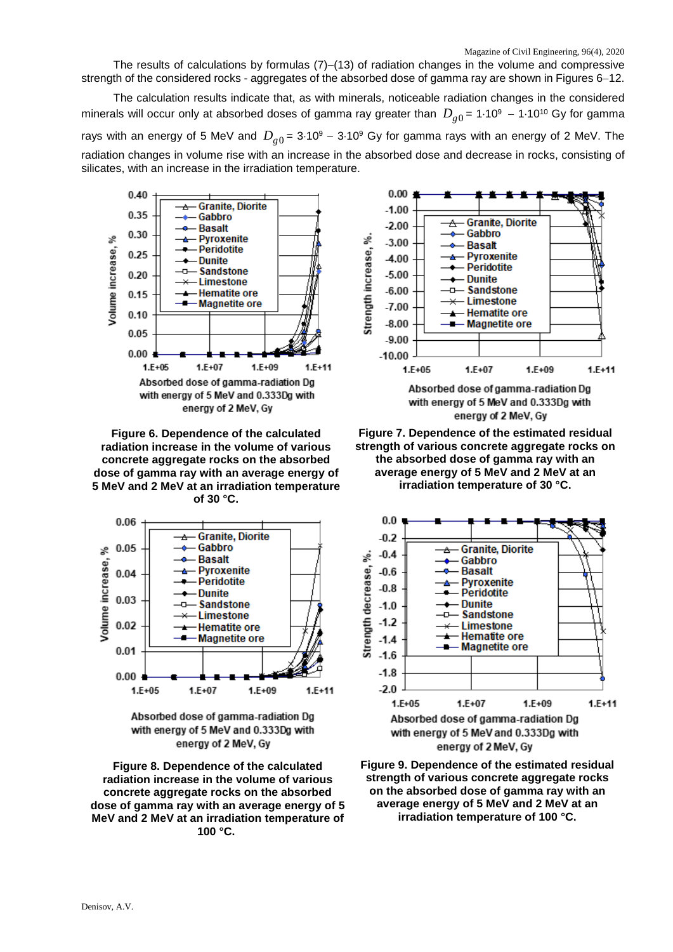The results of calculations by formulas (7)–(13) of radiation changes in the volume and compressive strength of the considered rocks - aggregates of the absorbed dose of gamma ray are shown in Figures 6−12.

The calculation results indicate that, as with minerals, noticeable radiation changes in the considered minerals will occur only at absorbed doses of gamma ray greater than  $D_{g0}$  = 1⋅10<sup>9</sup> - 1⋅10<sup>10</sup> Gy for gamma rays with an energy of 5 MeV and  $D_{\rho 0}$  = 3⋅10<sup>9</sup> – 3⋅10<sup>9</sup> Gy for gamma rays with an energy of 2 MeV. The radiation changes in volume rise with an increase in the absorbed dose and decrease in rocks, consisting of silicates, with an increase in the irradiation temperature.



**Figure 6. Dependence of the calculated radiation increase in the volume of various concrete aggregate rocks on the absorbed dose of gamma ray with an average energy of 5 MeV and 2 MeV at an irradiation temperature of 30 °C.**





**Figure 8. Dependence of the calculated radiation increase in the volume of various concrete aggregate rocks on the absorbed dose of gamma ray with an average energy of 5 MeV and 2 MeV at an irradiation temperature of 100 °C.** 





**Figure 7. Dependence of the estimated residual strength of various concrete aggregate rocks on the absorbed dose of gamma ray with an average energy of 5 MeV and 2 MeV at an irradiation temperature of 30 °C.**



with energy of 5 MeV and 0.333Dg with energy of 2 MeV, Gy **Figure 9. Dependence of the estimated residual** 

**strength of various concrete aggregate rocks on the absorbed dose of gamma ray with an average energy of 5 MeV and 2 MeV at an irradiation temperature of 100 °C.**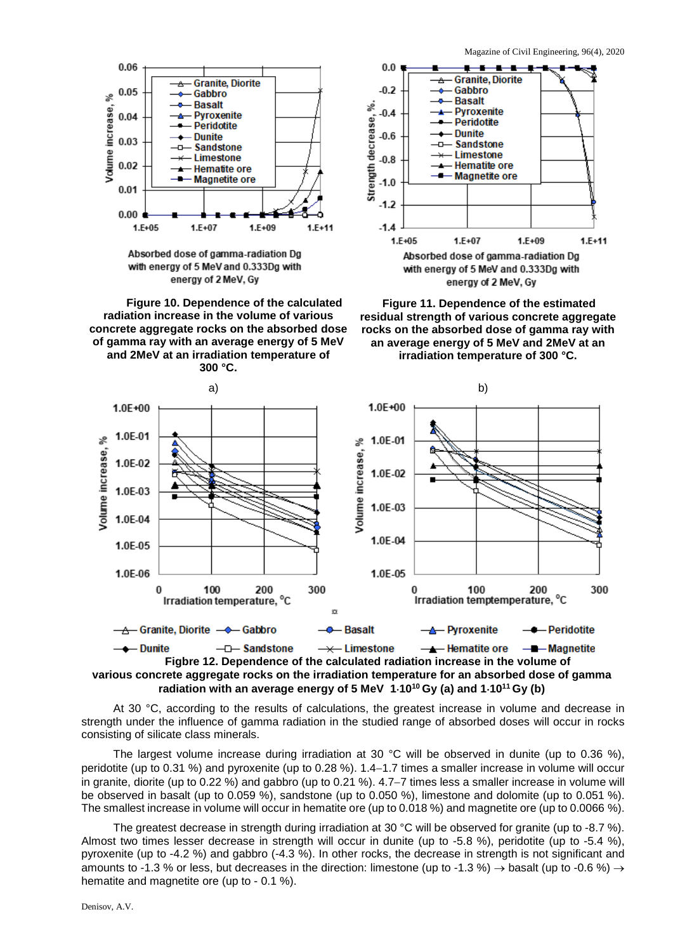

Absorbed dose of gamma-radiation Dg with energy of 5 MeV and 0.333Dg with energy of 2 MeV, Gy

**Figure 10. Dependence of the calculated radiation increase in the volume of various concrete aggregate rocks on the absorbed dose of gamma ray with an average energy of 5 MeV and 2MeV at an irradiation temperature of 300 °C.**



**Figure 11. Dependence of the estimated residual strength of various concrete aggregate rocks on the absorbed dose of gamma ray with an average energy of 5 MeV and 2MeV at an irradiation temperature of 300 °C.**



**Figbre 12. Dependence of the calculated radiation increase in the volume of various concrete aggregate rocks on the irradiation temperature for an absorbed dose of gamma radiation with an average energy of 5 MeV 1**⋅**1010 Gy (a) and 1**⋅**1011 Gy (b)**

At 30 °C, according to the results of calculations, the greatest increase in volume and decrease in strength under the influence of gamma radiation in the studied range of absorbed doses will occur in rocks consisting of silicate class minerals.

The largest volume increase during irradiation at 30 °C will be observed in dunite (up to 0.36 %), peridotite (up to 0.31 %) and pyroxenite (up to 0.28 %). 1.4−1.7 times a smaller increase in volume will occur in granite, diorite (up to 0.22 %) and gabbro (up to 0.21 %). 4.7−7 times less a smaller increase in volume will be observed in basalt (up to 0.059 %), sandstone (up to 0.050 %), limestone and dolomite (up to 0.051 %). The smallest increase in volume will occur in hematite ore (up to 0.018 %) and magnetite ore (up to 0.0066 %).

The greatest decrease in strength during irradiation at 30 °C will be observed for granite (up to -8.7 %). Almost two times lesser decrease in strength will occur in dunite (up to -5.8 %), peridotite (up to -5.4 %), pyroxenite (up to -4.2 %) and gabbro (-4.3 %). In other rocks, the decrease in strength is not significant and amounts to -1.3 % or less, but decreases in the direction: limestone (up to -1.3 %)  $\rightarrow$  basalt (up to -0.6 %)  $\rightarrow$ hematite and magnetite ore (up to - 0.1 %).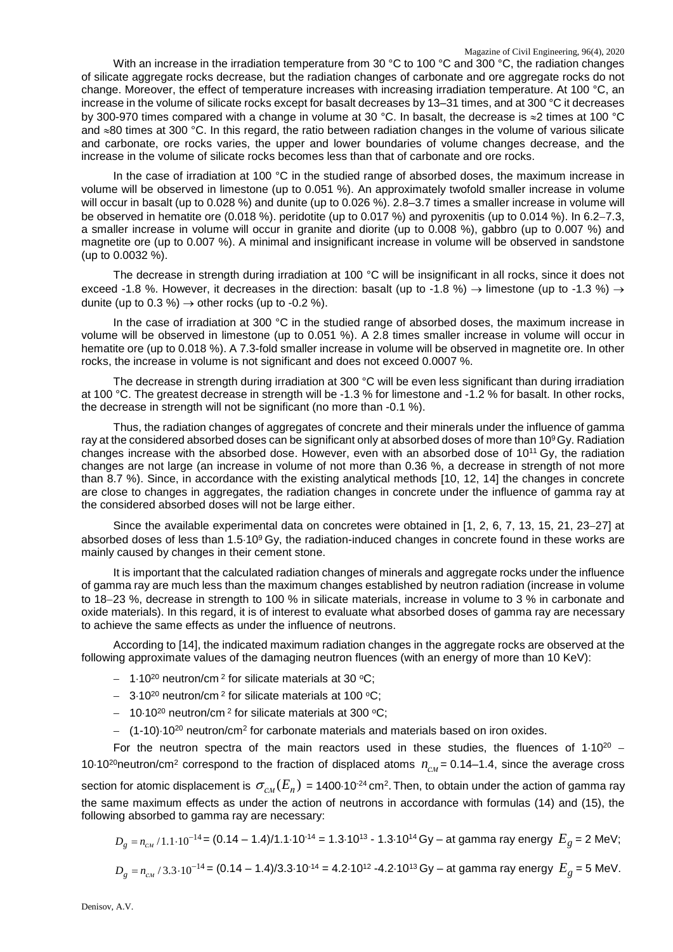With an increase in the irradiation temperature from 30 °C to 100 °C and 300 °C, the radiation changes of silicate aggregate rocks decrease, but the radiation changes of carbonate and ore aggregate rocks do not change. Moreover, the effect of temperature increases with increasing irradiation temperature. At 100 °C, an increase in the volume of silicate rocks except for basalt decreases by 13–31 times, and at 300 °C it decreases by 300-970 times compared with a change in volume at 30 °C. In basalt, the decrease is ≈2 times at 100 °C and ≈80 times at 300 °C. In this regard, the ratio between radiation changes in the volume of various silicate and carbonate, ore rocks varies, the upper and lower boundaries of volume changes decrease, and the increase in the volume of silicate rocks becomes less than that of carbonate and ore rocks.

In the case of irradiation at 100 °C in the studied range of absorbed doses, the maximum increase in volume will be observed in limestone (up to 0.051 %). An approximately twofold smaller increase in volume will occur in basalt (up to 0.028 %) and dunite (up to 0.026 %). 2.8–3.7 times a smaller increase in volume will be observed in hematite ore (0.018 %). peridotite (up to 0.017 %) and pyroxenitis (up to 0.014 %). In 6.2−7.3, a smaller increase in volume will occur in granite and diorite (up to 0.008 %), gabbro (up to 0.007 %) and magnetite ore (up to 0.007 %). A minimal and insignificant increase in volume will be observed in sandstone (up to 0.0032 %).

The decrease in strength during irradiation at 100 °C will be insignificant in all rocks, since it does not exceed -1.8 %. However, it decreases in the direction: basalt (up to -1.8 %)  $\rightarrow$  limestone (up to -1.3 %)  $\rightarrow$ dunite (up to 0.3 %)  $\rightarrow$  other rocks (up to -0.2 %).

In the case of irradiation at 300 °C in the studied range of absorbed doses, the maximum increase in volume will be observed in limestone (up to 0.051 %). A 2.8 times smaller increase in volume will occur in hematite ore (up to 0.018 %). A 7.3-fold smaller increase in volume will be observed in magnetite ore. In other rocks, the increase in volume is not significant and does not exceed 0.0007 %.

The decrease in strength during irradiation at 300 °C will be even less significant than during irradiation at 100 °C. The greatest decrease in strength will be -1.3 % for limestone and -1.2 % for basalt. In other rocks, the decrease in strength will not be significant (no more than -0.1 %).

Thus, the radiation changes of aggregates of concrete and their minerals under the influence of gamma ray at the considered absorbed doses can be significant only at absorbed doses of more than 10<sup>9</sup> Gy. Radiation changes increase with the absorbed dose. However, even with an absorbed dose of 1011 Gy, the radiation changes are not large (an increase in volume of not more than 0.36 %, a decrease in strength of not more than 8.7 %). Since, in accordance with the existing analytical methods [10, 12, 14] the changes in concrete are close to changes in aggregates, the radiation changes in concrete under the influence of gamma ray at the considered absorbed doses will not be large either.

Since the available experimental data on concretes were obtained in [1, 2, 6, 7, 13, 15, 21, 23−27] at absorbed doses of less than 1.5⋅10<sup>9</sup> Gy, the radiation-induced changes in concrete found in these works are mainly caused by changes in their cement stone.

It is important that the calculated radiation changes of minerals and aggregate rocks under the influence of gamma ray are much less than the maximum changes established by neutron radiation (increase in volume to 18−23 %, decrease in strength to 100 % in silicate materials, increase in volume to 3 % in carbonate and oxide materials). In this regard, it is of interest to evaluate what absorbed doses of gamma ray are necessary to achieve the same effects as under the influence of neutrons.

According to [14], the indicated maximum radiation changes in the aggregate rocks are observed at the following approximate values of the damaging neutron fluences (with an energy of more than 10 KeV):

- − 1⋅10<sup>20</sup> neutron/cm<sup>2</sup> for silicate materials at 30 °C;
- − 3.10<sup>20</sup> neutron/cm<sup>2</sup> for silicate materials at 100 °C;
- − 10⋅10<sup>20</sup> neutron/cm<sup>2</sup> for silicate materials at 300 °C;
- − (1-10)⋅1020 neutron/cm2 for carbonate materials and materials based on iron oxides.

For the neutron spectra of the main reactors used in these studies, the fluences of 1⋅10<sup>20</sup> − 10⋅10<sup>20</sup>neutron/cm<sup>2</sup> correspond to the fraction of displaced atoms  $n_{CM}$  = 0.14–1.4, since the average cross section for atomic displacement is  $\sigma_{cu}(E_n)$  = 1400⋅10<sup>-24</sup> cm<sup>2</sup>. Then, to obtain under the action of gamma ray the same maximum effects as under the action of neutrons in accordance with formulas (14) and (15), the following absorbed to gamma ray are necessary:

$$
D_g = n_{\text{CM}} / 1.1 \cdot 10^{-14} = (0.14 - 1.4) / 1.1 \cdot 10^{-14} = 1.3 \cdot 10^{13} - 1.3 \cdot 10^{14} \,\text{Gy} - \text{at gamma ray energy } E_g = 2 \,\text{MeV};
$$

$$
D_g = n_{\text{CM}} / 3.3 \cdot 10^{-14} = (0.14 - 1.4) / 3.3 \cdot 10^{-14} = 4.2 \cdot 10^{12} - 4.2 \cdot 10^{13} \text{ Gy} - \text{at gamma ray energy } E_g = 5 \text{ MeV}.
$$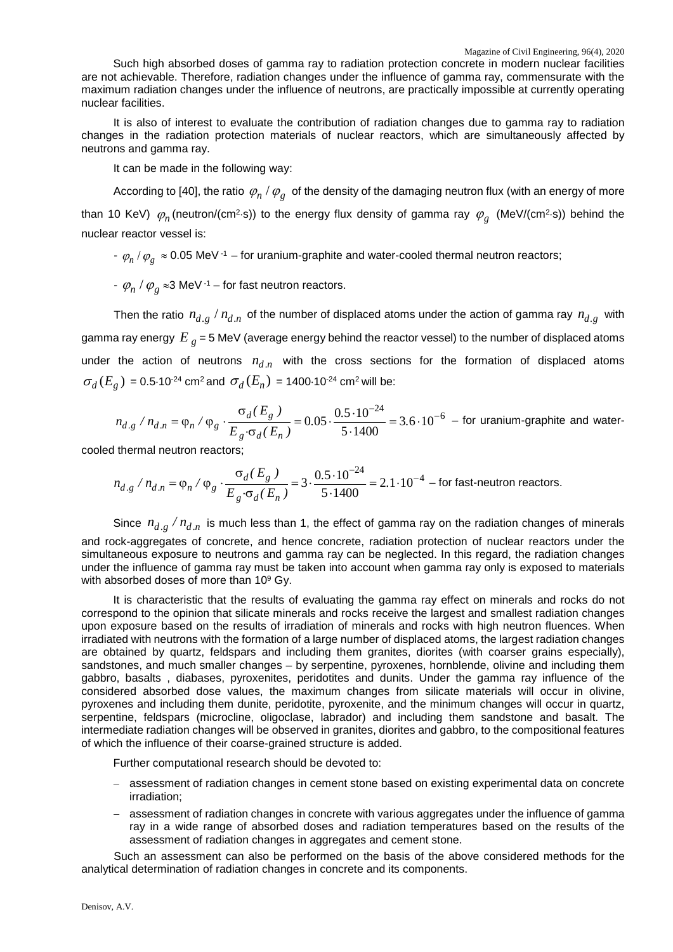Such high absorbed doses of gamma ray to radiation protection concrete in modern nuclear facilities are not achievable. Therefore, radiation changes under the influence of gamma ray, commensurate with the maximum radiation changes under the influence of neutrons, are practically impossible at currently operating nuclear facilities.

It is also of interest to evaluate the contribution of radiation changes due to gamma ray to radiation changes in the radiation protection materials of nuclear reactors, which are simultaneously affected by neutrons and gamma ray.

It can be made in the following way:

According to [40], the ratio  $\varphi_n / \varphi_g$  of the density of the damaging neutron flux (with an energy of more than 10 KeV)  $\varphi_n$  (neutron/(cm<sup>2</sup>⋅s)) to the energy flux density of gamma ray  $\varphi_g$  (MeV/(cm<sup>2</sup>⋅s)) behind the nuclear reactor vessel is:

 $\rho_n / \varphi_{\rm g} \approx 0.05$  MeV<sup>-1</sup> – for uranium-graphite and water-cooled thermal neutron reactors;

 $-\varphi_n / \varphi_g \approx 3$  MeV <sup>-1</sup> – for fast neutron reactors.

Then the ratio  $n_{d,g} / n_{d,n}$  of the number of displaced atoms under the action of gamma ray  $n_{d,g}$  with gamma ray energy  $E_g$  = 5 MeV (average energy behind the reactor vessel) to the number of displaced atoms under the action of neutrons  $n_{d,n}$  with the cross sections for the formation of displaced atoms  $\sigma_d(E_g) = 0.5 \cdot 10^{-24}$  cm<sup>2</sup> and  $\sigma_d(E_n) = 1400 \cdot 10^{-24}$  cm<sup>2</sup> will be:

$$
n_{d,g} / n_{d,n} = \varphi_n / \varphi_g \cdot \frac{\sigma_d(E_g)}{E_g \cdot \sigma_d(E_n)} = 0.05 \cdot \frac{0.5 \cdot 10^{-24}}{5 \cdot 1400} = 3.6 \cdot 10^{-6} \text{ - for uranium-graphite and water-}
$$

cooled thermal neutron reactors;

$$
n_{d,g} / n_{d,n} = \varphi_n / \varphi_g \cdot \frac{\sigma_d(E_g)}{E_g \cdot \sigma_d(E_n)} = 3 \cdot \frac{0.5 \cdot 10^{-24}}{5 \cdot 1400} = 2.1 \cdot 10^{-4} - \text{for fast-neutron reactions.}
$$

Since  $n_{d,g}/n_{d,n}$  is much less than 1, the effect of gamma ray on the radiation changes of minerals and rock-aggregates of concrete, and hence concrete, radiation protection of nuclear reactors under the simultaneous exposure to neutrons and gamma ray can be neglected. In this regard, the radiation changes under the influence of gamma ray must be taken into account when gamma ray only is exposed to materials with absorbed doses of more than  $10^9$  Gy.

It is characteristic that the results of evaluating the gamma ray effect on minerals and rocks do not correspond to the opinion that silicate minerals and rocks receive the largest and smallest radiation changes upon exposure based on the results of irradiation of minerals and rocks with high neutron fluences. When irradiated with neutrons with the formation of a large number of displaced atoms, the largest radiation changes are obtained by quartz, feldspars and including them granites, diorites (with coarser grains especially), sandstones, and much smaller changes – by serpentine, pyroxenes, hornblende, olivine and including them gabbro, basalts , diabases, pyroxenites, peridotites and dunits. Under the gamma ray influence of the considered absorbed dose values, the maximum changes from silicate materials will occur in olivine, pyroxenes and including them dunite, peridotite, pyroxenite, and the minimum changes will occur in quartz, serpentine, feldspars (microcline, oligoclase, labrador) and including them sandstone and basalt. The intermediate radiation changes will be observed in granites, diorites and gabbro, to the compositional features of which the influence of their coarse-grained structure is added.

Further computational research should be devoted to:

- − assessment of radiation changes in cement stone based on existing experimental data on concrete irradiation;
- − assessment of radiation changes in concrete with various aggregates under the influence of gamma ray in a wide range of absorbed doses and radiation temperatures based on the results of the assessment of radiation changes in aggregates and cement stone.

Such an assessment can also be performed on the basis of the above considered methods for the analytical determination of radiation changes in concrete and its components.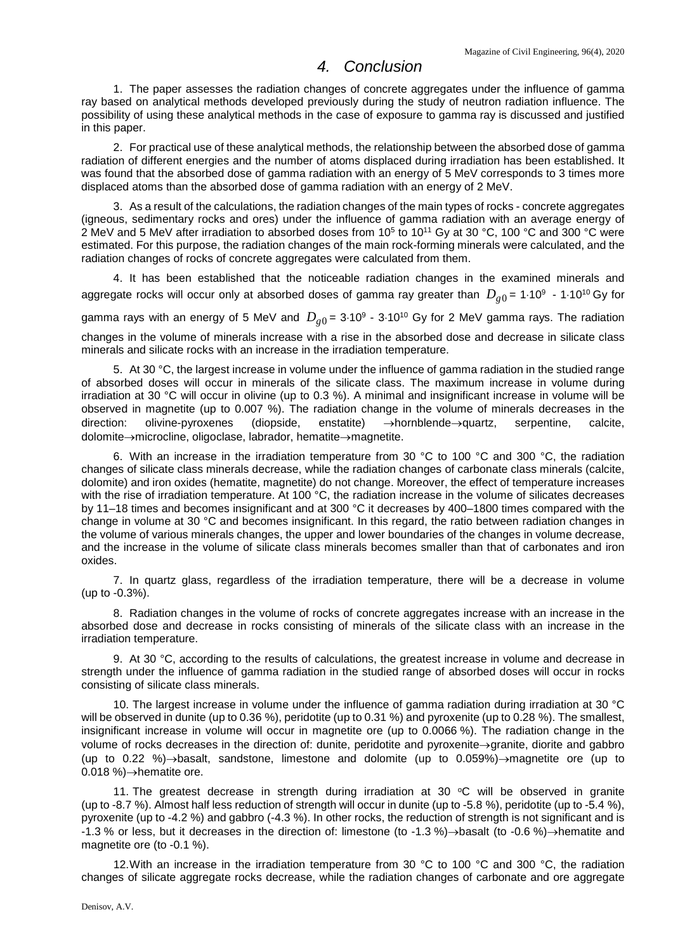## *4. Conclusion*

1. The paper assesses the radiation changes of concrete aggregates under the influence of gamma ray based on analytical methods developed previously during the study of neutron radiation influence. The possibility of using these analytical methods in the case of exposure to gamma ray is discussed and justified in this paper.

2. For practical use of these analytical methods, the relationship between the absorbed dose of gamma radiation of different energies and the number of atoms displaced during irradiation has been established. It was found that the absorbed dose of gamma radiation with an energy of 5 MeV corresponds to 3 times more displaced atoms than the absorbed dose of gamma radiation with an energy of 2 MeV.

3. As a result of the calculations, the radiation changes of the main types of rocks - concrete aggregates (igneous, sedimentary rocks and ores) under the influence of gamma radiation with an average energy of 2 MeV and 5 MeV after irradiation to absorbed doses from 10<sup>5</sup> to 10<sup>11</sup> Gy at 30 °C, 100 °C and 300 °C were estimated. For this purpose, the radiation changes of the main rock-forming minerals were calculated, and the radiation changes of rocks of concrete aggregates were calculated from them.

4. It has been established that the noticeable radiation changes in the examined minerals and aggregate rocks will occur only at absorbed doses of gamma ray greater than  $D_{q0} = 1.10^9 - 1.10^{10}$  Gy for

gamma rays with an energy of 5 MeV and  $D_{q0}$  = 3⋅10<sup>9</sup> - 3⋅10<sup>10</sup> Gy for 2 MeV gamma rays. The radiation changes in the volume of minerals increase with a rise in the absorbed dose and decrease in silicate class minerals and silicate rocks with an increase in the irradiation temperature.

5. At 30 °C, the largest increase in volume under the influence of gamma radiation in the studied range of absorbed doses will occur in minerals of the silicate class. The maximum increase in volume during irradiation at 30 °C will occur in olivine (up to 0.3 %). A minimal and insignificant increase in volume will be observed in magnetite (up to 0.007 %). The radiation change in the volume of minerals decreases in the direction: olivine-pyroxenes (diopside, enstatite) →hornblende→quartz, serpentine, calcite, dolomite→microcline, oligoclase, labrador, hematite→magnetite.

6. With an increase in the irradiation temperature from 30 °C to 100 °C and 300 °C, the radiation changes of silicate class minerals decrease, while the radiation changes of carbonate class minerals (calcite, dolomite) and iron oxides (hematite, magnetite) do not change. Moreover, the effect of temperature increases with the rise of irradiation temperature. At 100 °C, the radiation increase in the volume of silicates decreases by 11–18 times and becomes insignificant and at 300 °C it decreases by 400–1800 times compared with the change in volume at 30 °C and becomes insignificant. In this regard, the ratio between radiation changes in the volume of various minerals changes, the upper and lower boundaries of the changes in volume decrease, and the increase in the volume of silicate class minerals becomes smaller than that of carbonates and iron oxides.

7. In quartz glass, regardless of the irradiation temperature, there will be a decrease in volume (up to -0.3%).

8. Radiation changes in the volume of rocks of concrete aggregates increase with an increase in the absorbed dose and decrease in rocks consisting of minerals of the silicate class with an increase in the irradiation temperature.

9. At 30 °C, according to the results of calculations, the greatest increase in volume and decrease in strength under the influence of gamma radiation in the studied range of absorbed doses will occur in rocks consisting of silicate class minerals.

10. The largest increase in volume under the influence of gamma radiation during irradiation at 30 °C will be observed in dunite (up to 0.36 %), peridotite (up to 0.31 %) and pyroxenite (up to 0.28 %). The smallest, insignificant increase in volume will occur in magnetite ore (up to 0.0066 %). The radiation change in the volume of rocks decreases in the direction of: dunite, peridotite and pyroxenite→granite, diorite and gabbro (up to 0.22 %)→basalt, sandstone, limestone and dolomite (up to 0.059%)→magnetite ore (up to 0.018 %)→hematite ore.

11. The greatest decrease in strength during irradiation at 30  $°C$  will be observed in granite (up to -8.7 %). Almost half less reduction of strength will occur in dunite (up to -5.8 %), peridotite (up to -5.4 %), pyroxenite (up to -4.2 %) and gabbro (-4.3 %). In other rocks, the reduction of strength is not significant and is -1.3 % or less, but it decreases in the direction of: limestone (to -1.3 %)→basalt (to -0.6 %)→hematite and magnetite ore (to -0.1 %).

12.With an increase in the irradiation temperature from 30 °C to 100 °C and 300 °C, the radiation changes of silicate aggregate rocks decrease, while the radiation changes of carbonate and ore aggregate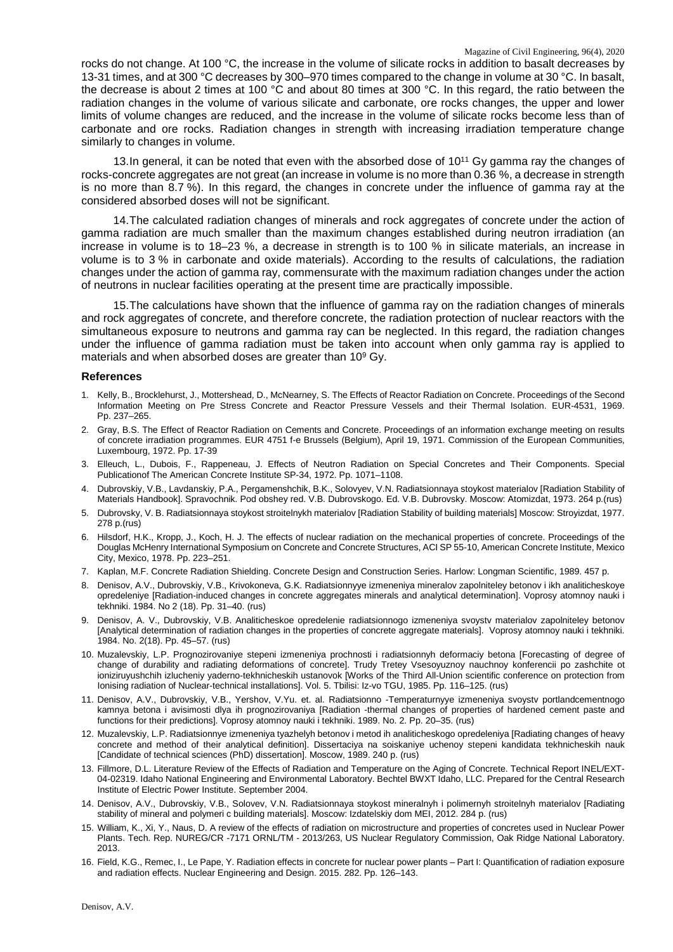rocks do not change. At 100 °C, the increase in the volume of silicate rocks in addition to basalt decreases by 13-31 times, and at 300 °C decreases by 300–970 times compared to the change in volume at 30 °C. In basalt, the decrease is about 2 times at 100 °C and about 80 times at 300 °C. In this regard, the ratio between the radiation changes in the volume of various silicate and carbonate, ore rocks changes, the upper and lower limits of volume changes are reduced, and the increase in the volume of silicate rocks become less than of carbonate and ore rocks. Radiation changes in strength with increasing irradiation temperature change similarly to changes in volume.

13. In general, it can be noted that even with the absorbed dose of  $10^{11}$  Gy gamma ray the changes of rocks-concrete aggregates are not great (an increase in volume is no more than 0.36 %, a decrease in strength is no more than 8.7 %). In this regard, the changes in concrete under the influence of gamma ray at the considered absorbed doses will not be significant.

14.The calculated radiation changes of minerals and rock aggregates of concrete under the action of gamma radiation are much smaller than the maximum changes established during neutron irradiation (an increase in volume is to 18–23 %, a decrease in strength is to 100 % in silicate materials, an increase in volume is to 3 % in carbonate and oxide materials). According to the results of calculations, the radiation changes under the action of gamma ray, commensurate with the maximum radiation changes under the action of neutrons in nuclear facilities operating at the present time are practically impossible.

15.The calculations have shown that the influence of gamma ray on the radiation changes of minerals and rock aggregates of concrete, and therefore concrete, the radiation protection of nuclear reactors with the simultaneous exposure to neutrons and gamma ray can be neglected. In this regard, the radiation changes under the influence of gamma radiation must be taken into account when only gamma ray is applied to materials and when absorbed doses are greater than 10<sup>9</sup> Gy.

## **References**

- 1. Kelly, B., Brocklehurst, J., Mottershead, D., McNearney, S. The Effects of Reactor Radiation on Concrete. Proceedings of the Second Information Meeting on Pre Stress Concrete and Reactor Pressure Vessels and their Thermal Isolation. EUR-4531, 1969. Pp. 237–265.
- 2. Gray, B.S. The Effect of Reactor Radiation on Cements and Concrete. Proceedings of an information exchange meeting on results of concrete irradiation programmes. EUR 4751 f-e Brussels (Belgium), April 19, 1971. Commission of the European Communities, Luxembourg, 1972. Pp. 17-39
- 3. Elleuch, L., Dubois, F., Rappeneau, J. Effects of Neutron Radiation on Special Concretes and Their Components. Special Publicationof The American Concrete Institute SP-34, 1972. Pp. 1071–1108.
- 4. Dubrovskiy, V.B., Lavdanskiy, P.A., Pergamenshchik, B.K., Solovyev, V.N. Radiatsionnaya stoykost materialov [Radiation Stability of Materials Handbook]. Spravochnik. Pod obshey red. V.B. Dubrovskogo. Ed. V.B. Dubrovsky. Moscow: Atomizdat, 1973. 264 p.(rus)
- 5. Dubrovsky, V. B. Radiatsionnaya stoykost stroitelnykh materialov [Radiation Stability of building materials] Moscow: Stroyizdat, 1977. 278 p.(rus)
- 6. Hilsdorf, H.K., Kropp, J., Koch, H. J. The effects of nuclear radiation on the mechanical properties of concrete. Proceedings of the Douglas McHenry International Symposium on Concrete and Concrete Structures, ACI SP 55-10, American Concrete Institute, Mexico City, Mexico, 1978. Pp. 223–251.
- 7. Kaplan, M.F. Concrete Radiation Shielding. Concrete Design and Construction Series. Harlow: Longman Scientific, 1989. 457 p.
- 8. Denisov, A.V., Dubrovskiy, V.B., Krivokoneva, G.K. Radiatsionnyye izmeneniya mineralov zapolniteley betonov i ikh analiticheskoye opredeleniye [Radiation-induced changes in concrete aggregates minerals and analytical determination]. Voprosy atomnoy nauki i tekhniki. 1984. No 2 (18). Pp. 31–40. (rus)
- 9. Denisov, A. V., Dubrovskiy, V.B. Analiticheskoe opredelenie radiatsionnogo izmeneniya svoystv materialov zapolniteley betonov [Analytical determination of radiation changes in the properties of concrete aggregate materials]. Voprosy atomnoy nauki i tekhniki. 1984. No. 2(18). Pp. 45–57. (rus)
- 10. Muzalevskiy, L.P. Prognozirovaniye stepeni izmeneniya prochnosti i radiatsionnyh deformaciy betona [Forecasting of degree of change of durability and radiating deformations of concrete]. Trudy Tretey Vsesoyuznoy nauchnoy konferencii po zashchite ot ioniziruyushchih izlucheniy yaderno-tekhnicheskih ustanovok [Works of the Third All-Union scientific conference on protection from Ionising radiation of Nuclear-technical installations]. Vol. 5. Tbilisi: Iz-vo TGU, 1985. Pp. 116–125. (rus)
- 11. Denisov, A.V., Dubrovskiy, V.B., Yershov, V.Yu. et. al. Radiatsionno -Temperaturnyye izmeneniya svoystv portlandcementnogo kamnya betona i avisimosti dlya ih prognozirovaniya [Radiation -thermal changes of properties of hardened cement paste and functions for their predictions]. Voprosy atomnoy nauki i tekhniki. 1989. No. 2. Pp. 20–35. (rus)
- 12. Muzalevskiy, L.P. Radiatsionnye izmeneniya tyazhelyh betonov i metod ih analiticheskogo opredeleniya [Radiating changes of heavy concrete and method of their analytical definition]. Dissertaciya na soiskaniye uchenoy stepeni kandidata tekhnicheskih nauk [Candidate of technical sciences (PhD) dissertation]. Moscow, 1989. 240 p. (rus)
- 13. Fillmore, D.L. Literature Review of the Effects of Radiation and Temperature on the Aging of Concrete. Technical Report INEL/EXT-04-02319. Idaho National Engineering and Environmental Laboratory. Bechtel BWXT Idaho, LLC. Prepared for the Central Research Institute of Electric Power Institute. September 2004.
- 14. Denisov, A.V., Dubrovskiy, V.B., Solovev, V.N. Radiatsionnaya stoykost mineralnyh i polimernyh stroitelnyh materialov [Radiating stability of mineral and polymeri c building materials]. Moscow: Izdatelskiy dom MEI, 2012. 284 p. (rus)
- 15. William, K., Xi, Y., Naus, D. A review of the effects of radiation on microstructure and properties of concretes used in Nuclear Power Plants. Tech. Rep. NUREG/CR -7171 ORNL/TM - 2013/263, US Nuclear Regulatory Commission, Oak Ridge National Laboratory. 2013.
- 16. Field, K.G., Remec, I., Le Pape, Y. Radiation effects in concrete for nuclear power plants Part I: Quantification of radiation exposure and radiation effects. Nuclear Engineering and Design. 2015. 282. Pp. 126–143.